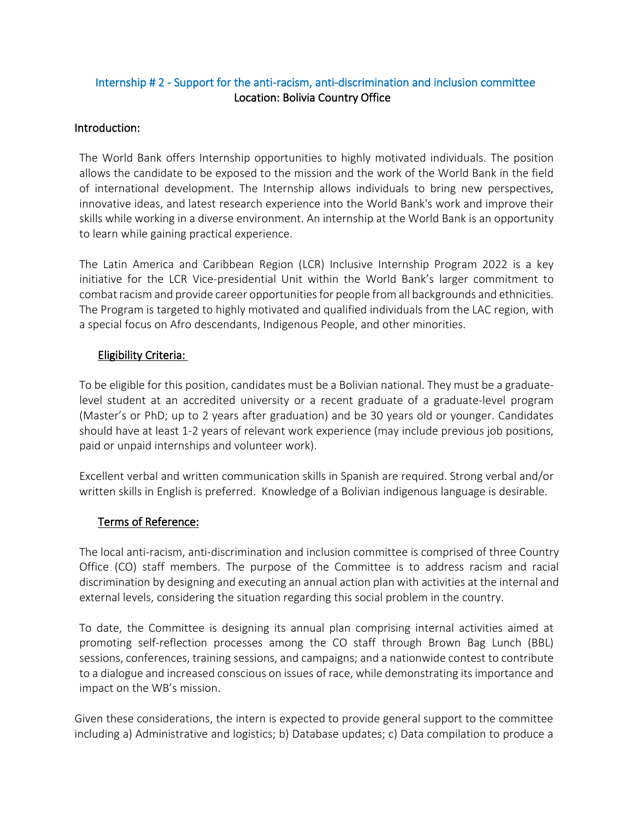# Internship # 2 - Support for the anti-racism, anti-discrimination and inclusion committee Location: Bolivia Country Office

#### Introduction:

The World Bank offers Internship opportunities to highly motivated individuals. The position allows the candidate to be exposed to the mission and the work of the World Bank in the field of international development. The Internship allows individuals to bring new perspectives, innovative ideas, and latest research experience into the World Bank's work and improve their skills while working in a diverse environment. An internship at the World Bank is an opportunity to learn while gaining practical experience.

The Latin America and Caribbean Region (LCR) Inclusive Internship Program 2022 is a key initiative for the LCR Vice-presidential Unit within the World Bank's larger commitment to combat racism and provide career opportunities for people from all backgrounds and ethnicities. The Program is targeted to highly motivated and qualified individuals from the LAC region, with a special focus on Afro descendants, Indigenous People, and other minorities.

## Eligibility Criteria:

To be eligible for this position, candidates must be a Bolivian national. They must be a graduatelevel student at an accredited university or a recent graduate of a graduate-level program (Master's or PhD; up to 2 years after graduation) and be 30 years old or younger. Candidates should have at least 1-2 years of relevant work experience (may include previous job positions, paid or unpaid internships and volunteer work).

Excellent verbal and written communication skills in Spanish are required. Strong verbal and/or written skills in English is preferred. Knowledge of a Bolivian indigenous language is desirable.

#### Terms of Reference:

The local anti-racism, anti-discrimination and inclusion committee is comprised of three Country Office (CO) staff members. The purpose of the Committee is to address racism and racial discrimination by designing and executing an annual action plan with activities at the internal and external levels, considering the situation regarding this social problem in the country.

To date, the Committee is designing its annual plan comprising internal activities aimed at promoting self-reflection processes among the CO staff through Brown Bag Lunch (BBL) sessions, conferences, training sessions, and campaigns; and a nationwide contest to contribute to a dialogue and increased conscious on issues of race, while demonstrating its importance and impact on the WB's mission.

Given these considerations, the intern is expected to provide general support to the committee including a) Administrative and logistics; b) Database updates; c) Data compilation to produce a